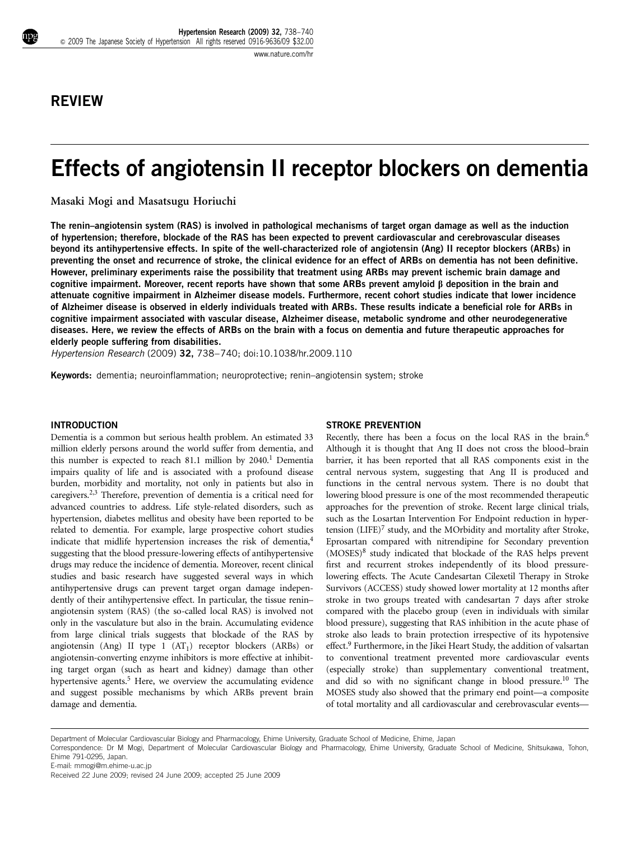# REVIEW

# Effects of angiotensin II receptor blockers on dementia

Masaki Mogi and Masatsugu Horiuchi

The renin–angiotensin system (RAS) is involved in pathological mechanisms of target organ damage as well as the induction of hypertension; therefore, blockade of the RAS has been expected to prevent cardiovascular and cerebrovascular diseases beyond its antihypertensive effects. In spite of the well-characterized role of angiotensin (Ang) II receptor blockers (ARBs) in preventing the onset and recurrence of stroke, the clinical evidence for an effect of ARBs on dementia has not been definitive. However, preliminary experiments raise the possibility that treatment using ARBs may prevent ischemic brain damage and cognitive impairment. Moreover, recent reports have shown that some ARBs prevent amyloid  $\beta$  deposition in the brain and attenuate cognitive impairment in Alzheimer disease models. Furthermore, recent cohort studies indicate that lower incidence of Alzheimer disease is observed in elderly individuals treated with ARBs. These results indicate a beneficial role for ARBs in cognitive impairment associated with vascular disease, Alzheimer disease, metabolic syndrome and other neurodegenerative diseases. Here, we review the effects of ARBs on the brain with a focus on dementia and future therapeutic approaches for elderly people suffering from disabilities.

Hypertension Research (2009) 32, 738–740; doi[:10.1038/hr.2009.110](http://dx.doi.org/10.1038/hr.2009.110)

Keywords: dementia; neuroinflammation; neuroprotective; renin–angiotensin system; stroke

# INTRODUCTION

Dementia is a common but serious health problem. An estimated 33 million elderly persons around the world suffer from dementia, and this number is expected to reach 81[.1](#page-2-0) million by  $2040$ .<sup>1</sup> Dementia impairs quality of life and is associated with a profound disease burden, morbidity and mortality, not only in patients but also in caregivers[.2,3](#page-2-0) Therefore, prevention of dementia is a critical need for advanced countries to address. Life style-related disorders, such as hypertension, diabetes mellitus and obesity have been reported to be related to dementia. For example, large prospective cohort studies indicate that midlife hypertension increases the risk of dementia,<sup>[4](#page-2-0)</sup> suggesting that the blood pressure-lowering effects of antihypertensive drugs may reduce the incidence of dementia. Moreover, recent clinical studies and basic research have suggested several ways in which antihypertensive drugs can prevent target organ damage independently of their antihypertensive effect. In particular, the tissue renin– angiotensin system (RAS) (the so-called local RAS) is involved not only in the vasculature but also in the brain. Accumulating evidence from large clinical trials suggests that blockade of the RAS by angiotensin (Ang) II type  $1$  (AT<sub>1</sub>) receptor blockers (ARBs) or angiotensin-converting enzyme inhibitors is more effective at inhibiting target organ (such as heart and kidney) damage than other hypertensive agents.<sup>5</sup> Here, we overview the accumulating evidence and suggest possible mechanisms by which ARBs prevent brain damage and dementia.

# STROKE PREVENTION

Recently, there has been a focus on the local RAS in the brain.[6](#page-2-0) Although it is thought that Ang II does not cross the blood–brain barrier, it has been reported that all RAS components exist in the central nervous system, suggesting that Ang II is produced and functions in the central nervous system. There is no doubt that lowering blood pressure is one of the most recommended therapeutic approaches for the prevention of stroke. Recent large clinical trials, such as the Losartan Intervention For Endpoint reduction in hypertension (LIFE)<sup>7</sup> study, and the MOrbidity and mortality after Stroke, Eprosartan compared with nitrendipine for Secondary prevention (MOSES[\)8](#page-2-0) study indicated that blockade of the RAS helps prevent first and recurrent strokes independently of its blood pressurelowering effects. The Acute Candesartan Cilexetil Therapy in Stroke Survivors (ACCESS) study showed lower mortality at 12 months after stroke in two groups treated with candesartan 7 days after stroke compared with the placebo group (even in individuals with similar blood pressure), suggesting that RAS inhibition in the acute phase of stroke also leads to brain protection irrespective of its hypotensive effect.<sup>[9](#page-2-0)</sup> Furthermore, in the Jikei Heart Study, the addition of valsartan to conventional treatment prevented more cardiovascular events (especially stroke) than supplementary conventional treatment, and did so with no significant change in blood pressure.<sup>[10](#page-2-0)</sup> The MOSES study also showed that the primary end point—a composite of total mortality and all cardiovascular and cerebrovascular events—

E-mail: [mmogi@m.ehime-u.ac.jp](mailto:mmogi@m.ehime-u.ac.jp)

Department of Molecular Cardiovascular Biology and Pharmacology, Ehime University, Graduate School of Medicine, Ehime, Japan

Correspondence: Dr M Mogi, Department of Molecular Cardiovascular Biology and Pharmacology, Ehime University, Graduate School of Medicine, Shitsukawa, Tohon, Ehime 791-0295, Japan.

Received 22 June 2009; revised 24 June 2009; accepted 25 June 2009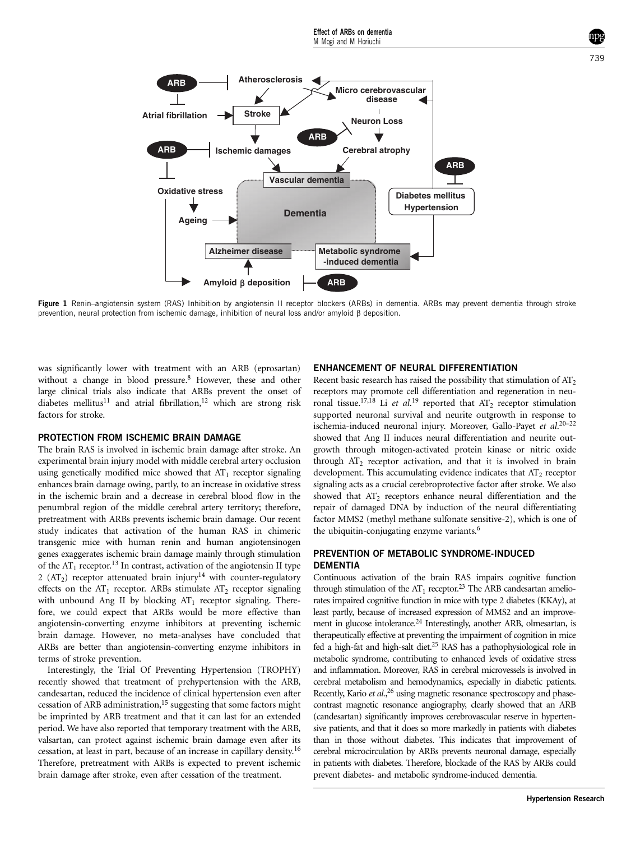<span id="page-1-0"></span>

Figure 1 Renin–angiotensin system (RAS) Inhibition by angiotensin II receptor blockers (ARBs) in dementia. ARBs may prevent dementia through stroke prevention, neural protection from ischemic damage, inhibition of neural loss and/or amyloid b deposition.

was significantly lower with treatment with an ARB (eprosartan) without a change in blood pressure.<sup>8</sup> However, these and other large clinical trials also indicate that ARBs prevent the onset of diabetes mellitus<sup>[11](#page-2-0)</sup> and atrial fibrillation,<sup>12</sup> which are strong risk factors for stroke.

# PROTECTION FROM ISCHEMIC BRAIN DAMAGE

The brain RAS is involved in ischemic brain damage after stroke. An experimental brain injury model with middle cerebral artery occlusion using genetically modified mice showed that  $AT_1$  receptor signaling enhances brain damage owing, partly, to an increase in oxidative stress in the ischemic brain and a decrease in cerebral blood flow in the penumbral region of the middle cerebral artery territory; therefore, pretreatment with ARBs prevents ischemic brain damage. Our recent study indicates that activation of the human RAS in chimeric transgenic mice with human renin and human angiotensinogen genes exaggerates ischemic brain damage mainly through stimulation of the  $AT_1$  receptor.<sup>13</sup> In contrast, activation of the angiotensin II type 2 ( $AT_2$ ) receptor attenuated brain injury<sup>14</sup> with counter-regulatory effects on the  $AT_1$  receptor. ARBs stimulate  $AT_2$  receptor signaling with unbound Ang II by blocking  $AT_1$  receptor signaling. Therefore, we could expect that ARBs would be more effective than angiotensin-converting enzyme inhibitors at preventing ischemic brain damage. However, no meta-analyses have concluded that ARBs are better than angiotensin-converting enzyme inhibitors in terms of stroke prevention.

Interestingly, the Trial Of Preventing Hypertension (TROPHY) recently showed that treatment of prehypertension with the ARB, candesartan, reduced the incidence of clinical hypertension even after cessation of ARB administration,<sup>15</sup> suggesting that some factors might be imprinted by ARB treatment and that it can last for an extended period. We have also reported that temporary treatment with the ARB, valsartan, can protect against ischemic brain damage even after its cessation, at least in part, because of an increase in capillary density.[16](#page-2-0) Therefore, pretreatment with ARBs is expected to prevent ischemic brain damage after stroke, even after cessation of the treatment.

### ENHANCEMENT OF NEURAL DIFFERENTIATION

Recent basic research has raised the possibility that stimulation of  $AT<sub>2</sub>$ receptors may promote cell differentiation and regeneration in neu-ronal tissue.<sup>17,18</sup> Li et al.<sup>[19](#page-2-0)</sup> reported that  $AT_2$  receptor stimulation supported neuronal survival and neurite outgrowth in response to ischemia-induced neuronal injury. Moreover, Gallo-Payet et al.<sup>20-22</sup> showed that Ang II induces neural differentiation and neurite outgrowth through mitogen-activated protein kinase or nitric oxide through  $AT_2$  receptor activation, and that it is involved in brain development. This accumulating evidence indicates that  $AT_2$  receptor signaling acts as a crucial cerebroprotective factor after stroke. We also showed that  $AT<sub>2</sub>$  receptors enhance neural differentiation and the repair of damaged DNA by induction of the neural differentiating factor MMS2 (methyl methane sulfonate sensitive-2), which is one of the ubiquitin-conjugating enzyme variants.<sup>6</sup>

# PREVENTION OF METABOLIC SYNDROME-INDUCED **DEMENTIA**

Continuous activation of the brain RAS impairs cognitive function through stimulation of the  $AT_1$  receptor.<sup>23</sup> The ARB candesartan ameliorates impaired cognitive function in mice with type 2 diabetes (KKAy), at least partly, because of increased expression of MMS2 and an improvement in glucose intolerance.<sup>24</sup> Interestingly, another ARB, olmesartan, is therapeutically effective at preventing the impairment of cognition in mice fed a high-fat and high-salt diet.[25](#page-2-0) RAS has a pathophysiological role in metabolic syndrome, contributing to enhanced levels of oxidative stress and inflammation. Moreover, RAS in cerebral microvessels is involved in cerebral metabolism and hemodynamics, especially in diabetic patients. Recently, Kario et al.,<sup>[26](#page-2-0)</sup> using magnetic resonance spectroscopy and phasecontrast magnetic resonance angiography, clearly showed that an ARB (candesartan) significantly improves cerebrovascular reserve in hypertensive patients, and that it does so more markedly in patients with diabetes than in those without diabetes. This indicates that improvement of cerebral microcirculation by ARBs prevents neuronal damage, especially in patients with diabetes. Therefore, blockade of the RAS by ARBs could prevent diabetes- and metabolic syndrome-induced dementia.